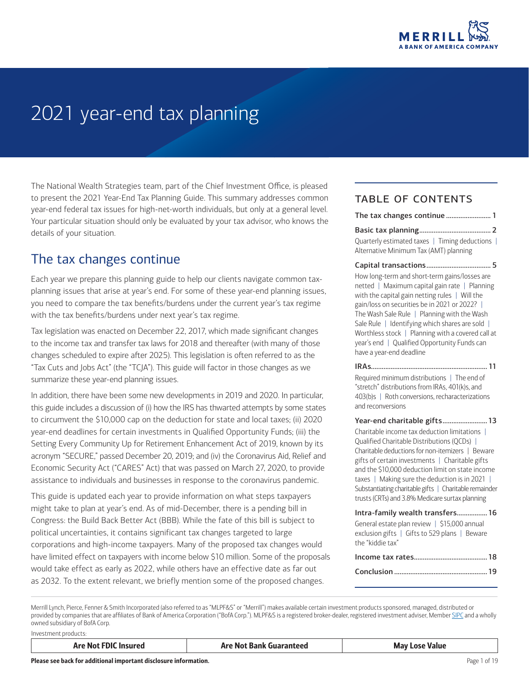

# 2021 year-end tax planning

The National Wealth Strategies team, part of the Chief Investment Office, is pleased to present the 2021 Year-End Tax Planning Guide. This summary addresses common year-end federal tax issues for high-net-worth individuals, but only at a general level. Your particular situation should only be evaluated by your tax advisor, who knows the details of your situation.

### <span id="page-0-0"></span>The tax changes continue

Each year we prepare this planning guide to help our clients navigate common taxplanning issues that arise at year's end. For some of these year-end planning issues, you need to compare the tax benefits/burdens under the current year's tax regime with the tax benefits/burdens under next year's tax regime.

Tax legislation was enacted on December 22, 2017, which made significant changes to the income tax and transfer tax laws for 2018 and thereafter (with many of those changes scheduled to expire after 2025). This legislation is often referred to as the "Tax Cuts and Jobs Act" (the "TCJA"). This guide will factor in those changes as we summarize these year-end planning issues.

In addition, there have been some new developments in 2019 and 2020. In particular, this guide includes a discussion of (i) how the IRS has thwarted attempts by some states to circumvent the \$10,000 cap on the deduction for state and local taxes; (ii) 2020 year-end deadlines for certain investments in Qualified Opportunity Funds; (iii) the Setting Every Community Up for Retirement Enhancement Act of 2019, known by its acronym "SECURE," passed December 20, 2019; and (iv) the Coronavirus Aid, Relief and Economic Security Act ("CARES" Act) that was passed on March 27, 2020, to provide assistance to individuals and businesses in response to the coronavirus pandemic.

This guide is updated each year to provide information on what steps taxpayers might take to plan at year's end. As of mid-December, there is a pending bill in Congress: the Build Back Better Act (BBB). While the fate of this bill is subject to political uncertainties, it contains significant tax changes targeted to large corporations and high-income taxpayers. Many of the proposed tax changes would have limited effect on taxpayers with income below \$10 million. Some of the proposals would take effect as early as 2022, while others have an effective date as far out as 2032. To the extent relevant, we briefly mention some of the proposed changes.

#### table of contents

| The tax changes continue 1 |  |  |  |
|----------------------------|--|--|--|
|                            |  |  |  |
|                            |  |  |  |

Quarterly estimated taxes | Timing deductions | Alternative Minimum Tax (AMT) planning

[Capital transactions....................................](#page-4-0) 5 How long-term and short-term gains/losses are netted | Maximum capital gain rate | Planning with the capital gain netting rules | Will the gain/loss on securities be in 2021 or 2022? | The Wash Sale Rule | Planning with the Wash Sale Rule | Identifying which shares are sold | Worthless stock | Planning with a covered call at year's end | Qualified Opportunity Funds can have a year-end deadline

[IRAs.................................................................](#page-10-0) 11 Required minimum distributions | The end of "stretch" distributions from IRAs, 401(k)s, and 403(b)s | Roth conversions, recharacterizations and reconversions

Year-end charitable gifts......................... 13 Charitable income tax deduction limitations | Qualified Charitable Distributions (QCDs) | Charitable deductions for non-itemizers | Beware gifts of certain investments | Charitable gifts and the \$10,000 deduction limit on state income taxes | Making sure the deduction is in 2021 | Substantiating charitable gifts | Charitable remainder trusts (CRTs) and 3.8% Medicare surtax planning

| Intra-family wealth transfers 16                                                                                  |
|-------------------------------------------------------------------------------------------------------------------|
| General estate plan review   \$15,000 annual<br>exclusion gifts   Gifts to 529 plans   Beware<br>the "kiddie tax" |
|                                                                                                                   |
|                                                                                                                   |

Merrill Lynch, Pierce, Fenner & Smith Incorporated (also referred to as "MLPF&S" or "Merrill") makes available certain investment products sponsored, managed, distributed or provided by companies that are affiliates of Bank of America Corporation ("BofA Corp."). MLPF&S is a registered broker-dealer, registered investment adviser, Member [SIPC](http://www.sipc.org) and a wholly owned subsidiary of BofA Corp.

Investment products: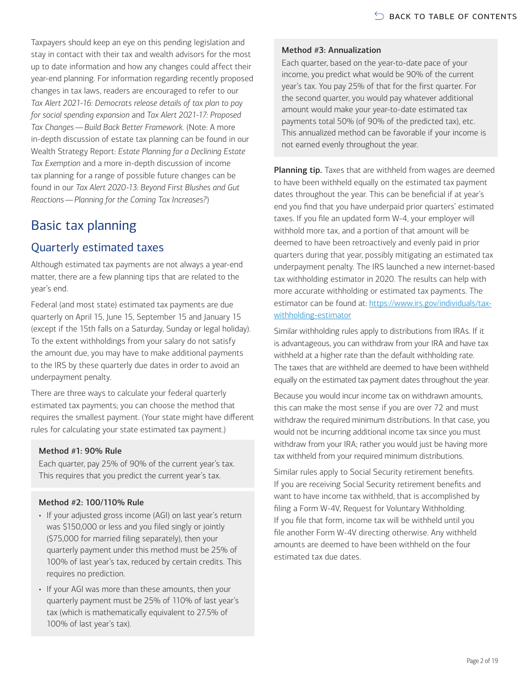Taxpayers should keep an eye on this pending legislation and stay in contact with their tax and wealth advisors for the most up to date information and how any changes could affect their year-end planning. For information regarding recently proposed changes in tax laws, readers are encouraged to refer to our *Tax Alert 2021-16: Democrats release details of tax plan to pay for social spending expansion* and *Tax Alert 2021-17: Proposed Tax Changes—Build Back Better Framework.* (Note: A more in-depth discussion of estate tax planning can be found in our Wealth Strategy Report: *Estate Planning for a Declining Estate Tax Exemption* and a more in-depth discussion of income tax planning for a range of possible future changes can be found in our *Tax Alert 2020-13: Beyond First Blushes and Gut Reactions—Planning for the Coming Tax Increases?*)

# <span id="page-1-0"></span>Basic tax planning

### Quarterly estimated taxes

Although estimated tax payments are not always a year-end matter, there are a few planning tips that are related to the year's end.

Federal (and most state) estimated tax payments are due quarterly on April 15, June 15, September 15 and January 15 (except if the 15th falls on a Saturday, Sunday or legal holiday). To the extent withholdings from your salary do not satisfy the amount due, you may have to make additional payments to the IRS by these quarterly due dates in order to avoid an underpayment penalty.

There are three ways to calculate your federal quarterly estimated tax payments; you can choose the method that requires the smallest payment. (Your state might have different rules for calculating your state estimated tax payment.)

#### Method #1: 90% Rule

Each quarter, pay 25% of 90% of the current year's tax. This requires that you predict the current year's tax.

#### Method #2: 100/110% Rule

- If your adjusted gross income (AGI) on last year's return was \$150,000 or less and you filed singly or jointly (\$75,000 for married filing separately), then your quarterly payment under this method must be 25% of 100% of last year's tax, reduced by certain credits. This requires no prediction.
- If your AGI was more than these amounts, then your quarterly payment must be 25% of 110% of last year's tax (which is mathematically equivalent to 27.5% of 100% of last year's tax).

#### Method #3: Annualization

Each quarter, based on the year-to-date pace of your income, you predict what would be 90% of the current year's tax. You pay 25% of that for the first quarter. For the second quarter, you would pay whatever additional amount would make your year-to-date estimated tax payments total 50% (of 90% of the predicted tax), etc. This annualized method can be favorable if your income is not earned evenly throughout the year.

Planning tip. Taxes that are withheld from wages are deemed to have been withheld equally on the estimated tax payment dates throughout the year. This can be beneficial if at year's end you find that you have underpaid prior quarters' estimated taxes. If you file an updated form W-4, your employer will withhold more tax, and a portion of that amount will be deemed to have been retroactively and evenly paid in prior quarters during that year, possibly mitigating an estimated tax underpayment penalty. The IRS launched a new internet-based tax withholding estimator in 2020. The results can help with more accurate withholding or estimated tax payments. The estimator can be found at: [https://www.irs.gov/individuals/tax](https://www.irs.gov/individuals/tax-withholding-estimator)[withholding-estimator](https://www.irs.gov/individuals/tax-withholding-estimator)

Similar withholding rules apply to distributions from IRAs. If it is advantageous, you can withdraw from your IRA and have tax withheld at a higher rate than the default withholding rate. The taxes that are withheld are deemed to have been withheld equally on the estimated tax payment dates throughout the year.

Because you would incur income tax on withdrawn amounts, this can make the most sense if you are over 72 and must withdraw the required minimum distributions. In that case, you would not be incurring additional income tax since you must withdraw from your IRA; rather you would just be having more tax withheld from your required minimum distributions.

Similar rules apply to Social Security retirement benefits. If you are receiving Social Security retirement benefits and want to have income tax withheld, that is accomplished by filing a Form W-4V, Request for Voluntary Withholding. If you file that form, income tax will be withheld until you file another Form W-4V directing otherwise. Any withheld amounts are deemed to have been withheld on the four estimated tax due dates.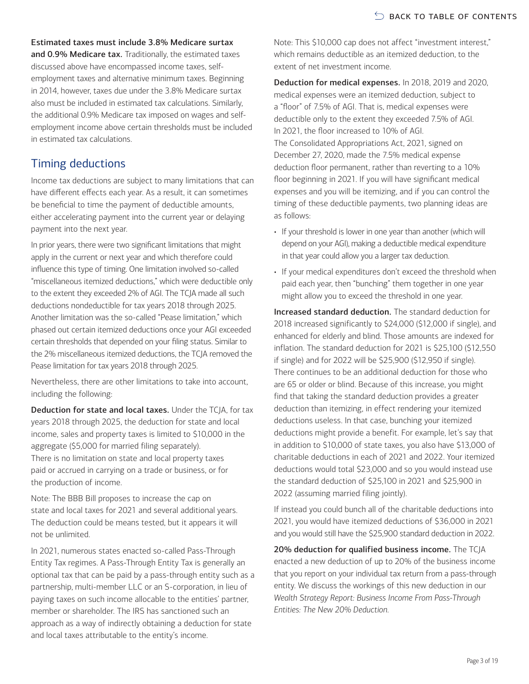Estimated taxes must include 3.8% Medicare surtax

and 0.9% Medicare tax. Traditionally, the estimated taxes discussed above have encompassed income taxes, selfemployment taxes and alternative minimum taxes. Beginning in 2014, however, taxes due under the 3.8% Medicare surtax also must be included in estimated tax calculations. Similarly, the additional 0.9% Medicare tax imposed on wages and selfemployment income above certain thresholds must be included in estimated tax calculations.

### Timing deductions

Income tax deductions are subject to many limitations that can have different effects each year. As a result, it can sometimes be beneficial to time the payment of deductible amounts, either accelerating payment into the current year or delaying payment into the next year.

In prior years, there were two significant limitations that might apply in the current or next year and which therefore could influence this type of timing. One limitation involved so-called "miscellaneous itemized deductions," which were deductible only to the extent they exceeded 2% of AGI. The TCJA made all such deductions nondeductible for tax years 2018 through 2025. Another limitation was the so-called "Pease limitation," which phased out certain itemized deductions once your AGI exceeded certain thresholds that depended on your filing status. Similar to the 2% miscellaneous itemized deductions, the TCJA removed the Pease limitation for tax years 2018 through 2025.

Nevertheless, there are other limitations to take into account, including the following:

Deduction for state and local taxes. Under the TCJA, for tax years 2018 through 2025, the deduction for state and local income, sales and property taxes is limited to \$10,000 in the aggregate (\$5,000 for married filing separately). There is no limitation on state and local property taxes paid or accrued in carrying on a trade or business, or for the production of income.

Note: The BBB Bill proposes to increase the cap on state and local taxes for 2021 and several additional years. The deduction could be means tested, but it appears it will not be unlimited.

In 2021, numerous states enacted so-called Pass-Through Entity Tax regimes. A Pass-Through Entity Tax is generally an optional tax that can be paid by a pass-through entity such as a partnership, multi-member LLC or an S-corporation, in lieu of paying taxes on such income allocable to the entities' partner, member or shareholder. The IRS has sanctioned such an approach as a way of indirectly obtaining a deduction for state and local taxes attributable to the entity's income.

Note: This \$10,000 cap does not affect "investment interest," which remains deductible as an itemized deduction, to the extent of net investment income.

Deduction for medical expenses. In 2018, 2019 and 2020, medical expenses were an itemized deduction, subject to a "floor" of 7.5% of AGI. That is, medical expenses were deductible only to the extent they exceeded 7.5% of AGI. In 2021, the floor increased to 10% of AGI. The Consolidated Appropriations Act, 2021, signed on December 27, 2020, made the 7.5% medical expense deduction floor permanent, rather than reverting to a 10% floor beginning in 2021. If you will have significant medical expenses and you will be itemizing, and if you can control the timing of these deductible payments, two planning ideas are as follows:

- If your threshold is lower in one year than another (which will depend on your AGI), making a deductible medical expenditure in that year could allow you a larger tax deduction.
- If your medical expenditures don't exceed the threshold when paid each year, then "bunching" them together in one year might allow you to exceed the threshold in one year.

Increased standard deduction. The standard deduction for 2018 increased significantly to \$24,000 (\$12,000 if single), and enhanced for elderly and blind. Those amounts are indexed for inflation. The standard deduction for 2021 is \$25,100 (\$12,550 if single) and for 2022 will be \$25,900 (\$12,950 if single). There continues to be an additional deduction for those who are 65 or older or blind. Because of this increase, you might find that taking the standard deduction provides a greater deduction than itemizing, in effect rendering your itemized deductions useless. In that case, bunching your itemized deductions might provide a benefit. For example, let's say that in addition to \$10,000 of state taxes, you also have \$13,000 of charitable deductions in each of 2021 and 2022. Your itemized deductions would total \$23,000 and so you would instead use the standard deduction of \$25,100 in 2021 and \$25,900 in 2022 (assuming married filing jointly).

If instead you could bunch all of the charitable deductions into 2021, you would have itemized deductions of \$36,000 in 2021 and you would still have the \$25,900 standard deduction in 2022.

20% deduction for qualified business income. The TCJA enacted a new deduction of up to 20% of the business income that you report on your individual tax return from a pass-through entity. We discuss the workings of this new deduction in our *Wealth Strategy Report: Business Income From Pass-Through Entities: The New 20% Deduction*.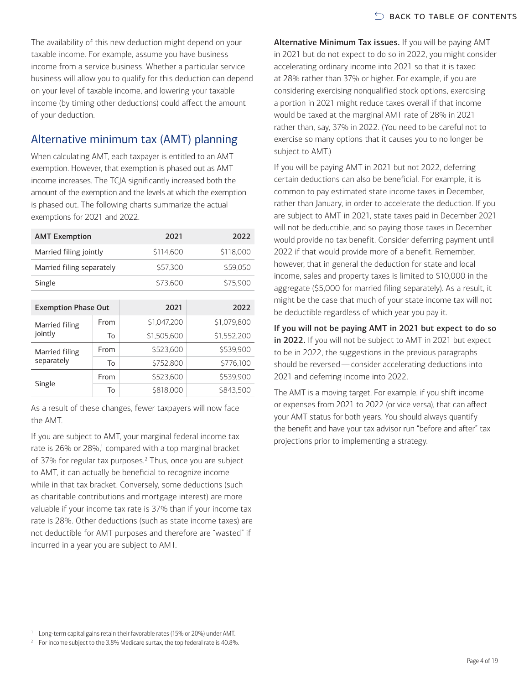The availability of this new deduction might depend on your taxable income. For example, assume you have business income from a service business. Whether a particular service business will allow you to qualify for this deduction can depend on your level of taxable income, and lowering your taxable income (by timing other deductions) could affect the amount of your deduction.

### Alternative minimum tax (AMT) planning

When calculating AMT, each taxpayer is entitled to an AMT exemption. However, that exemption is phased out as AMT income increases. The TCJA significantly increased both the amount of the exemption and the levels at which the exemption is phased out. The following charts summarize the actual exemptions for 2021 and 2022.

| <b>AMT Exemption</b>       |      | 2021        | 2022        |  |  |  |
|----------------------------|------|-------------|-------------|--|--|--|
| Married filing jointly     |      | \$114,600   | \$118,000   |  |  |  |
| Married filing separately  |      | \$57,300    | \$59,050    |  |  |  |
| Single                     |      | \$73,600    | \$75,900    |  |  |  |
|                            |      |             |             |  |  |  |
| <b>Exemption Phase Out</b> |      | 2021        | 2022        |  |  |  |
| Married filing             | From | \$1,047,200 | \$1,079,800 |  |  |  |
| jointly                    | To   | \$1,505,600 | \$1,552,200 |  |  |  |
| Married filing             | From | \$523,600   | \$539.900   |  |  |  |
| separately                 | To   | \$752,800   | \$776,100   |  |  |  |
| Single                     | From | \$523,600   | \$539,900   |  |  |  |
|                            | To   | \$818,000   | \$843,500   |  |  |  |

As a result of these changes, fewer taxpayers will now face the AMT.

If you are subject to AMT, your marginal federal income tax rate is 26% or 28%,<sup>1</sup> compared with a top marginal bracket of 37% for regular tax purposes.<sup>[2](#page-3-1)</sup> Thus, once you are subject to AMT, it can actually be beneficial to recognize income while in that tax bracket. Conversely, some deductions (such as charitable contributions and mortgage interest) are more valuable if your income tax rate is 37% than if your income tax rate is 28%. Other deductions (such as state income taxes) are not deductible for AMT purposes and therefore are "wasted" if incurred in a year you are subject to AMT.

Alternative Minimum Tax issues. If you will be paying AMT in 2021 but do not expect to do so in 2022, you might consider accelerating ordinary income into 2021 so that it is taxed at 28% rather than 37% or higher. For example, if you are considering exercising nonqualified stock options, exercising a portion in 2021 might reduce taxes overall if that income would be taxed at the marginal AMT rate of 28% in 2021 rather than, say, 37% in 2022. (You need to be careful not to exercise so many options that it causes you to no longer be subject to AMT.)

If you will be paying AMT in 2021 but not 2022, deferring certain deductions can also be beneficial. For example, it is common to pay estimated state income taxes in December, rather than January, in order to accelerate the deduction. If you are subject to AMT in 2021, state taxes paid in December 2021 will not be deductible, and so paying those taxes in December would provide no tax benefit. Consider deferring payment until 2022 if that would provide more of a benefit. Remember, however, that in general the deduction for state and local income, sales and property taxes is limited to \$10,000 in the aggregate (\$5,000 for married filing separately). As a result, it might be the case that much of your state income tax will not be deductible regardless of which year you pay it.

If you will not be paying AMT in 2021 but expect to do so in 2022. If you will not be subject to AMT in 2021 but expect to be in 2022, the suggestions in the previous paragraphs should be reversed—consider accelerating deductions into 2021 and deferring income into 2022.

The AMT is a moving target. For example, if you shift income or expenses from 2021 to 2022 (or vice versa), that can affect your AMT status for both years. You should always quantify the benefit and have your tax advisor run "before and after" tax projections prior to implementing a strategy.

<span id="page-3-0"></span><sup>&</sup>lt;sup>1</sup> Long-term capital gains retain their favorable rates (15% or 20%) under AMT.

<span id="page-3-1"></span><sup>&</sup>lt;sup>2</sup> For income subject to the 3.8% Medicare surtax, the top federal rate is 40.8%.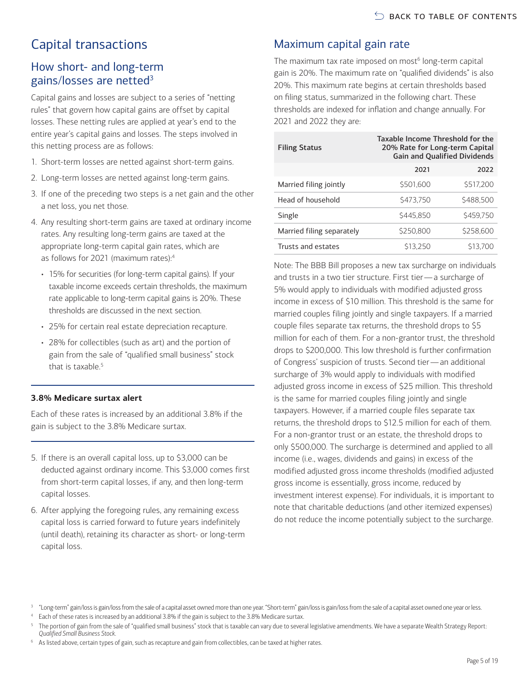# <span id="page-4-0"></span>Capital transactions

### How short- and long-term gains/losses are netted<sup>3</sup>

Capital gains and losses are subject to a series of "netting rules" that govern how capital gains are offset by capital losses. These netting rules are applied at year's end to the entire year's capital gains and losses. The steps involved in this netting process are as follows:

- 1. Short-term losses are netted against short-term gains.
- 2. Long-term losses are netted against long-term gains.
- 3. If one of the preceding two steps is a net gain and the other a net loss, you net those.
- 4. Any resulting short-term gains are taxed at ordinary income rates. Any resulting long-term gains are taxed at the appropriate long-term capital gain rates, which are as follows for 2021 (maximum rates)[:4](#page-4-2)
	- 15% for securities (for long-term capital gains). If your taxable income exceeds certain thresholds, the maximum rate applicable to long-term capital gains is 20%. These thresholds are discussed in the next section.
	- 25% for certain real estate depreciation recapture.
	- 28% for collectibles (such as art) and the portion of gain from the sale of "qualified small business" stock that is taxable.<sup>[5](#page-4-3)</sup>

#### **3.8% Medicare surtax alert**

Each of these rates is increased by an additional 3.8% if the gain is subject to the 3.8% Medicare surtax.

- 5. If there is an overall capital loss, up to \$3,000 can be deducted against ordinary income. This \$3,000 comes first from short-term capital losses, if any, and then long-term capital losses.
- 6. After applying the foregoing rules, any remaining excess capital loss is carried forward to future years indefinitely (until death), retaining its character as short- or long-term capital loss.

# Maximum capital gain rate

The maximum tax rate imposed on most<sup>6</sup> long-term capital gain is 20%. The maximum rate on "qualified dividends" is also 20%. This maximum rate begins at certain thresholds based on filing status, summarized in the following chart. These thresholds are indexed for inflation and change annually. For 2021 and 2022 they are:

| <b>Filing Status</b>      | Taxable Income Threshold for the<br>20% Rate for Long-term Capital<br><b>Gain and Qualified Dividends</b> |           |  |
|---------------------------|-----------------------------------------------------------------------------------------------------------|-----------|--|
|                           | 2021                                                                                                      | 2022      |  |
| Married filing jointly    | \$501.600                                                                                                 | \$517,200 |  |
| Head of household         | \$473.750                                                                                                 | \$488,500 |  |
| Single                    | \$445.850                                                                                                 | \$459.750 |  |
| Married filing separately | \$250,800                                                                                                 | \$258,600 |  |
| Trusts and estates        | \$13.250                                                                                                  | \$13.700  |  |

Note: The BBB Bill proposes a new tax surcharge on individuals and trusts in a two tier structure. First tier—a surcharge of 5% would apply to individuals with modified adjusted gross income in excess of \$10 million. This threshold is the same for married couples filing jointly and single taxpayers. If a married couple files separate tax returns, the threshold drops to \$5 million for each of them. For a non-grantor trust, the threshold drops to \$200,000. This low threshold is further confirmation of Congress' suspicion of trusts. Second tier—an additional surcharge of 3% would apply to individuals with modified adjusted gross income in excess of \$25 million. This threshold is the same for married couples filing jointly and single taxpayers. However, if a married couple files separate tax returns, the threshold drops to \$12.5 million for each of them. For a non-grantor trust or an estate, the threshold drops to only \$500,000. The surcharge is determined and applied to all income (i.e., wages, dividends and gains) in excess of the modified adjusted gross income thresholds (modified adjusted gross income is essentially, gross income, reduced by investment interest expense). For individuals, it is important to note that charitable deductions (and other itemized expenses) do not reduce the income potentially subject to the surcharge.

<span id="page-4-1"></span><sup>3</sup> "Long-term" gain/loss is gain/loss from the sale of a capital asset owned more than one year. "Short-term" gain/loss is gain/loss from the sale of a capital asset owned one year or less.

<span id="page-4-2"></span>Each of these rates is increased by an additional 3.8% if the gain is subject to the 3.8% Medicare surtax.

<span id="page-4-3"></span><sup>5</sup> The portion of gain from the sale of "qualified small business" stock that is taxable can vary due to several legislative amendments. We have a separate Wealth Strategy Report: *Qualified Small Business Stock.*

<span id="page-4-4"></span><sup>6</sup> As listed above, certain types of gain, such as recapture and gain from collectibles, can be taxed at higher rates.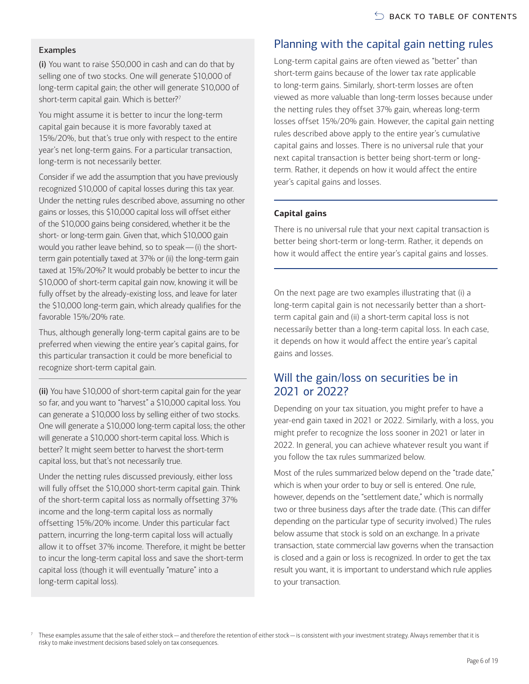#### Examples

(i) You want to raise \$50,000 in cash and can do that by selling one of two stocks. One will generate \$10,000 of long-term capital gain; the other will generate \$10,000 of short-term capital gain. Which is better?<sup>[7](#page-5-0)</sup>

You might assume it is better to incur the long-term capital gain because it is more favorably taxed at 15%/20%, but that's true only with respect to the entire year's net long-term gains. For a particular transaction, long-term is not necessarily better.

Consider if we add the assumption that you have previously recognized \$10,000 of capital losses during this tax year. Under the netting rules described above, assuming no other gains or losses, this \$10,000 capital loss will offset either of the \$10,000 gains being considered, whether it be the short- or long-term gain. Given that, which \$10,000 gain would you rather leave behind, so to speak—(i) the shortterm gain potentially taxed at 37% or (ii) the long-term gain taxed at 15%/20%? It would probably be better to incur the \$10,000 of short-term capital gain now, knowing it will be fully offset by the already-existing loss, and leave for later the \$10,000 long-term gain, which already qualifies for the favorable 15%/20% rate.

Thus, although generally long-term capital gains are to be preferred when viewing the entire year's capital gains, for this particular transaction it could be more beneficial to recognize short-term capital gain.

(ii) You have \$10,000 of short-term capital gain for the year so far, and you want to "harvest" a \$10,000 capital loss. You can generate a \$10,000 loss by selling either of two stocks. One will generate a \$10,000 long-term capital loss; the other will generate a \$10,000 short-term capital loss. Which is better? It might seem better to harvest the short-term capital loss, but that's not necessarily true.

Under the netting rules discussed previously, either loss will fully offset the \$10,000 short-term capital gain. Think of the short-term capital loss as normally offsetting 37% income and the long-term capital loss as normally offsetting 15%/20% income. Under this particular fact pattern, incurring the long-term capital loss will actually allow it to offset 37% income. Therefore, it might be better to incur the long-term capital loss and save the short-term capital loss (though it will eventually "mature" into a long-term capital loss).

# Planning with the capital gain netting rules

Long-term capital gains are often viewed as "better" than short-term gains because of the lower tax rate applicable to long-term gains. Similarly, short-term losses are often viewed as more valuable than long-term losses because under the netting rules they offset 37% gain, whereas long-term losses offset 15%/20% gain. However, the capital gain netting rules described above apply to the entire year's cumulative capital gains and losses. There is no universal rule that your next capital transaction is better being short-term or longterm. Rather, it depends on how it would affect the entire year's capital gains and losses.

#### **Capital gains**

There is no universal rule that your next capital transaction is better being short-term or long-term. Rather, it depends on how it would affect the entire year's capital gains and losses.

On the next page are two examples illustrating that (i) a long-term capital gain is not necessarily better than a shortterm capital gain and (ii) a short-term capital loss is not necessarily better than a long-term capital loss. In each case, it depends on how it would affect the entire year's capital gains and losses.

#### Will the gain/loss on securities be in 2021 or 2022?

Depending on your tax situation, you might prefer to have a year-end gain taxed in 2021 or 2022. Similarly, with a loss, you might prefer to recognize the loss sooner in 2021 or later in 2022. In general, you can achieve whatever result you want if you follow the tax rules summarized below.

Most of the rules summarized below depend on the "trade date," which is when your order to buy or sell is entered. One rule, however, depends on the "settlement date," which is normally two or three business days after the trade date. (This can differ depending on the particular type of security involved.) The rules below assume that stock is sold on an exchange. In a private transaction, state commercial law governs when the transaction is closed and a gain or loss is recognized. In order to get the tax result you want, it is important to understand which rule applies to your transaction.

<span id="page-5-0"></span>These examples assume that the sale of either stock—and therefore the retention of either stock—is consistent with your investment strategy. Always remember that it is risky to make investment decisions based solely on tax consequences.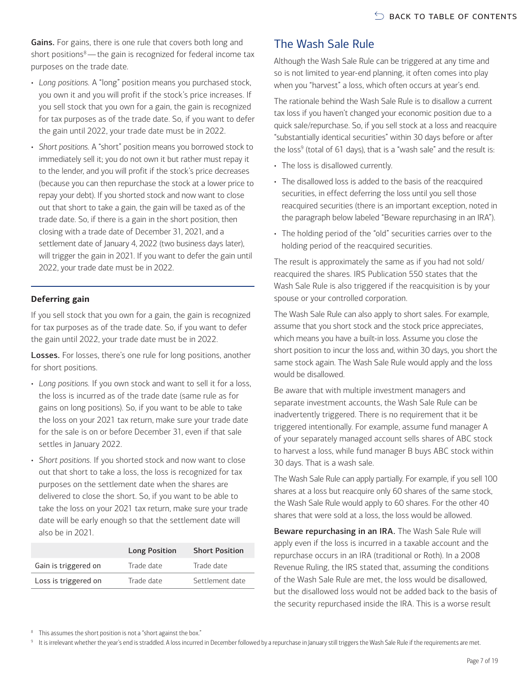Gains. For gains, there is one rule that covers both long and short positions $8$ —the gain is recognized for federal income tax purposes on the trade date.

- *Long positions.* A "long" position means you purchased stock, you own it and you will profit if the stock's price increases. If you sell stock that you own for a gain, the gain is recognized for tax purposes as of the trade date. So, if you want to defer the gain until 2022, your trade date must be in 2022.
- *Short positions.* A "short" position means you borrowed stock to immediately sell it; you do not own it but rather must repay it to the lender, and you will profit if the stock's price decreases (because you can then repurchase the stock at a lower price to repay your debt). If you shorted stock and now want to close out that short to take a gain, the gain will be taxed as of the trade date. So, if there is a gain in the short position, then closing with a trade date of December 31, 2021, and a settlement date of January 4, 2022 (two business days later), will trigger the gain in 2021. If you want to defer the gain until 2022, your trade date must be in 2022.

#### **Deferring gain**

If you sell stock that you own for a gain, the gain is recognized for tax purposes as of the trade date. So, if you want to defer the gain until 2022, your trade date must be in 2022.

Losses. For losses, there's one rule for long positions, another for short positions.

- *Long positions.* If you own stock and want to sell it for a loss, the loss is incurred as of the trade date (same rule as for gains on long positions). So, if you want to be able to take the loss on your 2021 tax return, make sure your trade date for the sale is on or before December 31, even if that sale settles in January 2022.
- *Short positions.* If you shorted stock and now want to close out that short to take a loss, the loss is recognized for tax purposes on the settlement date when the shares are delivered to close the short. So, if you want to be able to take the loss on your 2021 tax return, make sure your trade date will be early enough so that the settlement date will also be in 2021.

|                      | Long Position | <b>Short Position</b> |
|----------------------|---------------|-----------------------|
| Gain is triggered on | Trade date    | Trade date            |
| Loss is triggered on | Trade date    | Settlement date       |

# The Wash Sale Rule

Although the Wash Sale Rule can be triggered at any time and so is not limited to year-end planning, it often comes into play when you "harvest" a loss, which often occurs at year's end.

The rationale behind the Wash Sale Rule is to disallow a current tax loss if you haven't changed your economic position due to a quick sale/repurchase. So, if you sell stock at a loss and reacquire "substantially identical securities" within 30 days before or after the loss<sup>9</sup> (total of 61 days), that is a "wash sale" and the result is:

- The loss is disallowed currently.
- The disallowed loss is added to the basis of the reacquired securities, in effect deferring the loss until you sell those reacquired securities (there is an important exception, noted in the paragraph below labeled "Beware repurchasing in an IRA").
- The holding period of the "old" securities carries over to the holding period of the reacquired securities.

The result is approximately the same as if you had not sold/ reacquired the shares. IRS Publication 550 states that the Wash Sale Rule is also triggered if the reacquisition is by your spouse or your controlled corporation.

The Wash Sale Rule can also apply to short sales. For example, assume that you short stock and the stock price appreciates, which means you have a built-in loss. Assume you close the short position to incur the loss and, within 30 days, you short the same stock again. The Wash Sale Rule would apply and the loss would be disallowed.

Be aware that with multiple investment managers and separate investment accounts, the Wash Sale Rule can be inadvertently triggered. There is no requirement that it be triggered intentionally. For example, assume fund manager A of your separately managed account sells shares of ABC stock to harvest a loss, while fund manager B buys ABC stock within 30 days. That is a wash sale.

The Wash Sale Rule can apply partially. For example, if you sell 100 shares at a loss but reacquire only 60 shares of the same stock, the Wash Sale Rule would apply to 60 shares. For the other 40 shares that were sold at a loss, the loss would be allowed.

Beware repurchasing in an IRA. The Wash Sale Rule will apply even if the loss is incurred in a taxable account and the repurchase occurs in an IRA (traditional or Roth). In a 2008 Revenue Ruling, the IRS stated that, assuming the conditions of the Wash Sale Rule are met, the loss would be disallowed, but the disallowed loss would not be added back to the basis of the security repurchased inside the IRA. This is a worse result

<span id="page-6-0"></span><sup>8</sup> This assumes the short position is not a "short against the box."

<span id="page-6-1"></span>9 It is irrelevant whether the year's end is straddled. A loss incurred in December followed by a repurchase in January still triggers the Wash Sale Rule if the requirements are met.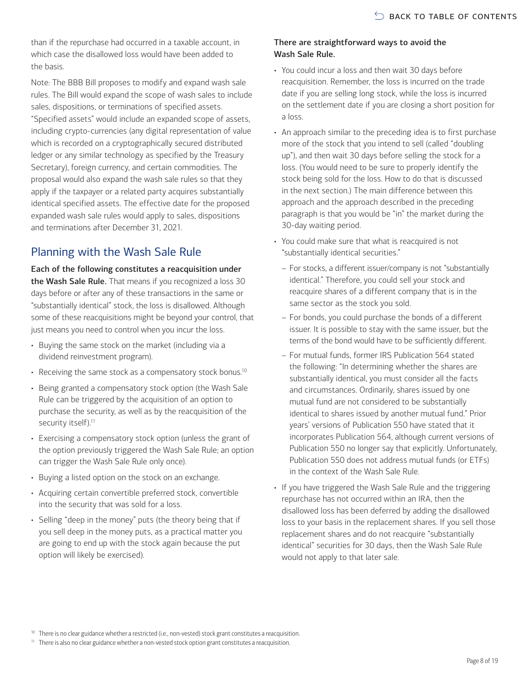than if the repurchase had occurred in a taxable account, in which case the disallowed loss would have been added to the basis.

Note: The BBB Bill proposes to modify and expand wash sale rules. The Bill would expand the scope of wash sales to include sales, dispositions, or terminations of specified assets. "Specified assets" would include an expanded scope of assets, including crypto-currencies (any digital representation of value which is recorded on a cryptographically secured distributed ledger or any similar technology as specified by the Treasury Secretary), foreign currency, and certain commodities. The proposal would also expand the wash sale rules so that they apply if the taxpayer or a related party acquires substantially identical specified assets. The effective date for the proposed expanded wash sale rules would apply to sales, dispositions and terminations after December 31, 2021.

### Planning with the Wash Sale Rule

Each of the following constitutes a reacquisition under the Wash Sale Rule. That means if you recognized a loss 30 days before or after any of these transactions in the same or "substantially identical" stock, the loss is disallowed. Although some of these reacquisitions might be beyond your control, that just means you need to control when you incur the loss.

- Buying the same stock on the market (including via a dividend reinvestment program).
- Receiving the same stock as a compensatory stock bonus.<sup>10</sup>
- Being granted a compensatory stock option (the Wash Sale Rule can be triggered by the acquisition of an option to purchase the security, as well as by the reacquisition of the security itself).<sup>11</sup>
- Exercising a compensatory stock option (unless the grant of the option previously triggered the Wash Sale Rule; an option can trigger the Wash Sale Rule only once).
- Buying a listed option on the stock on an exchange.
- Acquiring certain convertible preferred stock, convertible into the security that was sold for a loss.
- Selling "deep in the money" puts (the theory being that if you sell deep in the money puts, as a practical matter you are going to end up with the stock again because the put option will likely be exercised).

#### There are straightforward ways to avoid the Wash Sale Rule.

- You could incur a loss and then wait 30 days before reacquisition. Remember, the loss is incurred on the trade date if you are selling long stock, while the loss is incurred on the settlement date if you are closing a short position for a loss.
- An approach similar to the preceding idea is to first purchase more of the stock that you intend to sell (called "doubling up"), and then wait 30 days before selling the stock for a loss. (You would need to be sure to properly identify the stock being sold for the loss. How to do that is discussed in the next section.) The main difference between this approach and the approach described in the preceding paragraph is that you would be "in" the market during the 30-day waiting period.
- You could make sure that what is reacquired is not "substantially identical securities."
	- For stocks, a different issuer/company is not "substantially identical." Therefore, you could sell your stock and reacquire shares of a different company that is in the same sector as the stock you sold.
	- For bonds, you could purchase the bonds of a different issuer. It is possible to stay with the same issuer, but the terms of the bond would have to be sufficiently different.
	- For mutual funds, former IRS Publication 564 stated the following: "In determining whether the shares are substantially identical, you must consider all the facts and circumstances. Ordinarily, shares issued by one mutual fund are not considered to be substantially identical to shares issued by another mutual fund." Prior years' versions of Publication 550 have stated that it incorporates Publication 564, although current versions of Publication 550 no longer say that explicitly. Unfortunately, Publication 550 does not address mutual funds (or ETFs) in the context of the Wash Sale Rule.
- If you have triggered the Wash Sale Rule and the triggering repurchase has not occurred within an IRA, then the disallowed loss has been deferred by adding the disallowed loss to your basis in the replacement shares. If you sell those replacement shares and do not reacquire "substantially identical" securities for 30 days, then the Wash Sale Rule would not apply to that later sale.

<span id="page-7-0"></span><sup>10</sup> There is no clear guidance whether a restricted (i.e., non-vested) stock grant constitutes a reacquisition.

<span id="page-7-1"></span><sup>11</sup> There is also no clear guidance whether a non-vested stock option grant constitutes a reacquisition.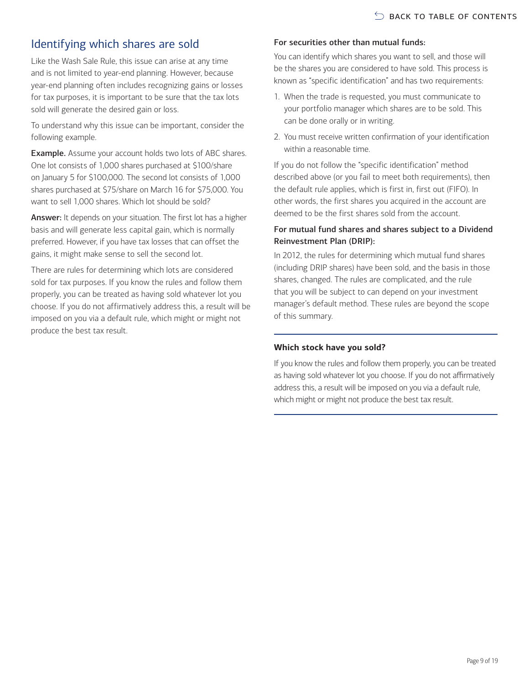# Identifying which shares are sold

Like the Wash Sale Rule, this issue can arise at any time and is not limited to year-end planning. However, because year-end planning often includes recognizing gains or losses for tax purposes, it is important to be sure that the tax lots sold will generate the desired gain or loss.

To understand why this issue can be important, consider the following example.

Example. Assume your account holds two lots of ABC shares. One lot consists of 1,000 shares purchased at \$100/share on January 5 for \$100,000. The second lot consists of 1,000 shares purchased at \$75/share on March 16 for \$75,000. You want to sell 1,000 shares. Which lot should be sold?

Answer: It depends on your situation. The first lot has a higher basis and will generate less capital gain, which is normally preferred. However, if you have tax losses that can offset the gains, it might make sense to sell the second lot.

There are rules for determining which lots are considered sold for tax purposes. If you know the rules and follow them properly, you can be treated as having sold whatever lot you choose. If you do not affirmatively address this, a result will be imposed on you via a default rule, which might or might not produce the best tax result.

#### For securities other than mutual funds:

You can identify which shares you want to sell, and those will be the shares you are considered to have sold. This process is known as "specific identification" and has two requirements:

- 1. When the trade is requested, you must communicate to your portfolio manager which shares are to be sold. This can be done orally or in writing.
- 2. You must receive written confirmation of your identification within a reasonable time.

If you do not follow the "specific identification" method described above (or you fail to meet both requirements), then the default rule applies, which is first in, first out (FIFO). In other words, the first shares you acquired in the account are deemed to be the first shares sold from the account.

#### For mutual fund shares and shares subject to a Dividend Reinvestment Plan (DRIP):

In 2012, the rules for determining which mutual fund shares (including DRIP shares) have been sold, and the basis in those shares, changed. The rules are complicated, and the rule that you will be subject to can depend on your investment manager's default method. These rules are beyond the scope of this summary.

#### **Which stock have you sold?**

If you know the rules and follow them properly, you can be treated as having sold whatever lot you choose. If you do not affirmatively address this, a result will be imposed on you via a default rule, which might or might not produce the best tax result.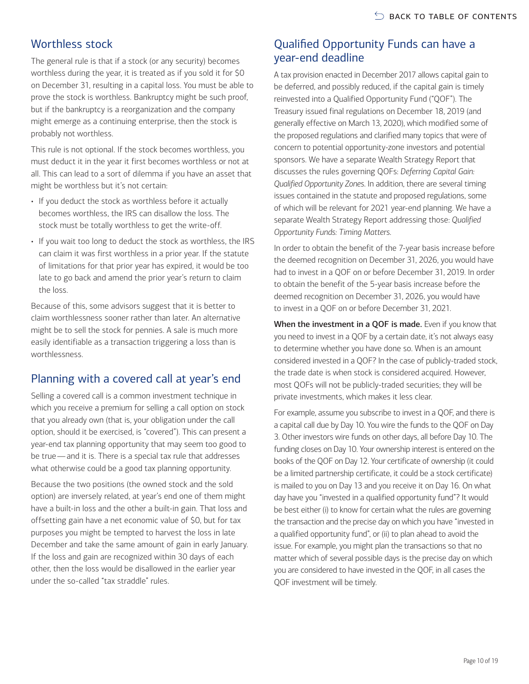### Worthless stock

The general rule is that if a stock (or any security) becomes worthless during the year, it is treated as if you sold it for \$0 on December 31, resulting in a capital loss. You must be able to prove the stock is worthless. Bankruptcy might be such proof, but if the bankruptcy is a reorganization and the company might emerge as a continuing enterprise, then the stock is probably not worthless.

This rule is not optional. If the stock becomes worthless, you must deduct it in the year it first becomes worthless or not at all. This can lead to a sort of dilemma if you have an asset that might be worthless but it's not certain:

- If you deduct the stock as worthless before it actually becomes worthless, the IRS can disallow the loss. The stock must be totally worthless to get the write-off.
- If you wait too long to deduct the stock as worthless, the IRS can claim it was first worthless in a prior year. If the statute of limitations for that prior year has expired, it would be too late to go back and amend the prior year's return to claim the loss.

Because of this, some advisors suggest that it is better to claim worthlessness sooner rather than later. An alternative might be to sell the stock for pennies. A sale is much more easily identifiable as a transaction triggering a loss than is worthlessness.

### Planning with a covered call at year's end

Selling a covered call is a common investment technique in which you receive a premium for selling a call option on stock that you already own (that is, your obligation under the call option, should it be exercised, is "covered"). This can present a year-end tax planning opportunity that may seem too good to be true—and it is. There is a special tax rule that addresses what otherwise could be a good tax planning opportunity.

Because the two positions (the owned stock and the sold option) are inversely related, at year's end one of them might have a built-in loss and the other a built-in gain. That loss and offsetting gain have a net economic value of \$0, but for tax purposes you might be tempted to harvest the loss in late December and take the same amount of gain in early January. If the loss and gain are recognized within 30 days of each other, then the loss would be disallowed in the earlier year under the so-called "tax straddle" rules.

### Qualified Opportunity Funds can have a year-end deadline

A tax provision enacted in December 2017 allows capital gain to be deferred, and possibly reduced, if the capital gain is timely reinvested into a Qualified Opportunity Fund ("QOF"). The Treasury issued final regulations on December 18, 2019 (and generally effective on March 13, 2020), which modified some of the proposed regulations and clarified many topics that were of concern to potential opportunity-zone investors and potential sponsors. We have a separate Wealth Strategy Report that discusses the rules governing QOFs: *Deferring Capital Gain: Qualified Opportunity Zones*. In addition, there are several timing issues contained in the statute and proposed regulations, some of which will be relevant for 2021 year-end planning. We have a separate Wealth Strategy Report addressing those: *Qualified Opportunity Funds: Timing Matters*.

In order to obtain the benefit of the 7-year basis increase before the deemed recognition on December 31, 2026, you would have had to invest in a QOF on or before December 31, 2019. In order to obtain the benefit of the 5-year basis increase before the deemed recognition on December 31, 2026, you would have to invest in a QOF on or before December 31, 2021.

When the investment in a QOF is made. Even if you know that you need to invest in a QOF by a certain date, it's not always easy to determine whether you have done so. When is an amount considered invested in a QOF? In the case of publicly-traded stock, the trade date is when stock is considered acquired. However, most QOFs will not be publicly-traded securities; they will be private investments, which makes it less clear.

For example, assume you subscribe to invest in a QOF, and there is a capital call due by Day 10. You wire the funds to the QOF on Day 3. Other investors wire funds on other days, all before Day 10. The funding closes on Day 10. Your ownership interest is entered on the books of the QOF on Day 12. Your certificate of ownership (it could be a limited partnership certificate, it could be a stock certificate) is mailed to you on Day 13 and you receive it on Day 16. On what day have you "invested in a qualified opportunity fund"? It would be best either (i) to know for certain what the rules are governing the transaction and the precise day on which you have "invested in a qualified opportunity fund", or (ii) to plan ahead to avoid the issue. For example, you might plan the transactions so that no matter which of several possible days is the precise day on which you are considered to have invested in the QOF, in all cases the QOF investment will be timely.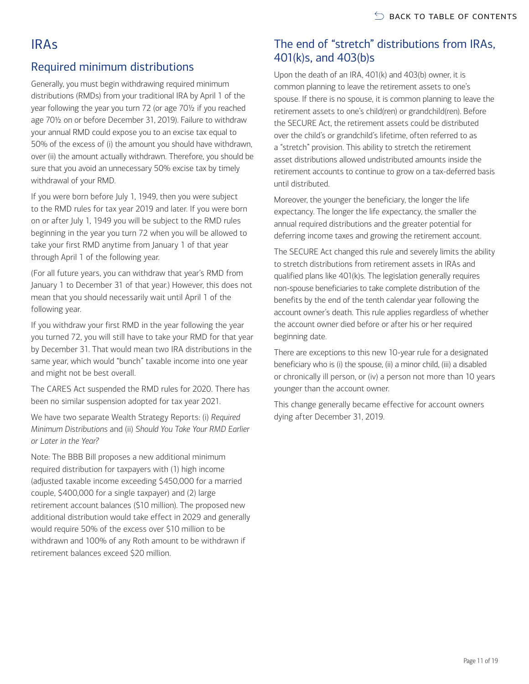# <span id="page-10-0"></span>IRAs

### Required minimum distributions

Generally, you must begin withdrawing required minimum distributions (RMDs) from your traditional IRA by April 1 of the year following the year you turn 72 (or age 70½ if you reached age 70½ on or before December 31, 2019). Failure to withdraw your annual RMD could expose you to an excise tax equal to 50% of the excess of (i) the amount you should have withdrawn, over (ii) the amount actually withdrawn. Therefore, you should be sure that you avoid an unnecessary 50% excise tax by timely withdrawal of your RMD.

If you were born before July 1, 1949, then you were subject to the RMD rules for tax year 2019 and later. If you were born on or after July 1, 1949 you will be subject to the RMD rules beginning in the year you turn 72 when you will be allowed to take your first RMD anytime from January 1 of that year through April 1 of the following year.

(For all future years, you can withdraw that year's RMD from January 1 to December 31 of that year.) However, this does not mean that you should necessarily wait until April 1 of the following year.

If you withdraw your first RMD in the year following the year you turned 72, you will still have to take your RMD for that year by December 31. That would mean two IRA distributions in the same year, which would "bunch" taxable income into one year and might not be best overall.

The CARES Act suspended the RMD rules for 2020. There has been no similar suspension adopted for tax year 2021.

We have two separate Wealth Strategy Reports: (i) *Required Minimum Distributions* and (ii) *Should You Take Your RMD Earlier or Later in the Year?*

Note: The BBB Bill proposes a new additional minimum required distribution for taxpayers with (1) high income (adjusted taxable income exceeding \$450,000 for a married couple, \$400,000 for a single taxpayer) and (2) large retirement account balances (\$10 million). The proposed new additional distribution would take effect in 2029 and generally would require 50% of the excess over \$10 million to be withdrawn and 100% of any Roth amount to be withdrawn if retirement balances exceed \$20 million.

### The end of "stretch" distributions from IRAs, 401(k)s, and 403(b)s

Upon the death of an IRA, 401(k) and 403(b) owner, it is common planning to leave the retirement assets to one's spouse. If there is no spouse, it is common planning to leave the retirement assets to one's child(ren) or grandchild(ren). Before the SECURE Act, the retirement assets could be distributed over the child's or grandchild's lifetime, often referred to as a "stretch" provision. This ability to stretch the retirement asset distributions allowed undistributed amounts inside the retirement accounts to continue to grow on a tax-deferred basis until distributed.

Moreover, the younger the beneficiary, the longer the life expectancy. The longer the life expectancy, the smaller the annual required distributions and the greater potential for deferring income taxes and growing the retirement account.

The SECURE Act changed this rule and severely limits the ability to stretch distributions from retirement assets in IRAs and qualified plans like 401(k)s. The legislation generally requires non-spouse beneficiaries to take complete distribution of the benefits by the end of the tenth calendar year following the account owner's death. This rule applies regardless of whether the account owner died before or after his or her required beginning date.

There are exceptions to this new 10-year rule for a designated beneficiary who is (i) the spouse, (ii) a minor child, (iii) a disabled or chronically ill person, or (iv) a person not more than 10 years younger than the account owner.

This change generally became effective for account owners dying after December 31, 2019.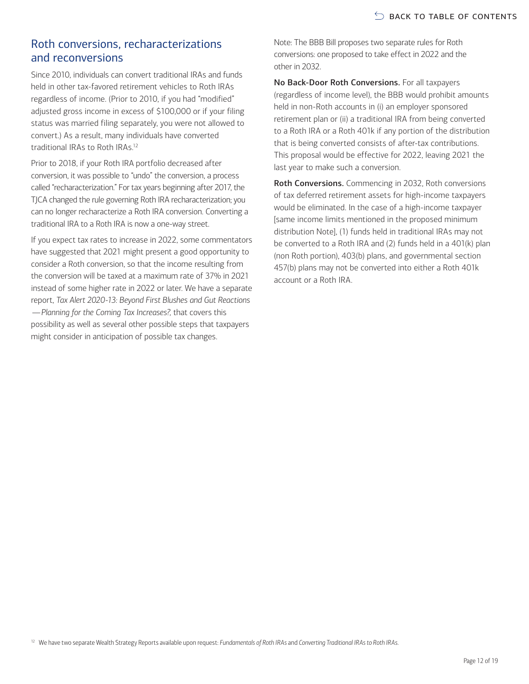#### Roth conversions, recharacterizations and reconversions

Since 2010, individuals can convert traditional IRAs and funds held in other tax-favored retirement vehicles to Roth IRAs regardless of income. (Prior to 2010, if you had "modified" adjusted gross income in excess of \$100,000 or if your filing status was married filing separately, you were not allowed to convert.) As a result, many individuals have converted traditional IRAs to Roth IRAs[.12](#page-11-0)

Prior to 2018, if your Roth IRA portfolio decreased after conversion, it was possible to "undo" the conversion, a process called "recharacterization." For tax years beginning after 2017, the TJCA changed the rule governing Roth IRA recharacterization; you can no longer recharacterize a Roth IRA conversion. Converting a traditional IRA to a Roth IRA is now a one-way street.

<span id="page-11-0"></span>If you expect tax rates to increase in 2022, some commentators have suggested that 2021 might present a good opportunity to consider a Roth conversion, so that the income resulting from the conversion will be taxed at a maximum rate of 37% in 2021 instead of some higher rate in 2022 or later. We have a separate report, *Tax Alert 2020-13: Beyond First Blushes and Gut Reactions —Planning for the Coming Tax Increases?,* that covers this possibility as well as several other possible steps that taxpayers might consider in anticipation of possible tax changes.

Note: The BBB Bill proposes two separate rules for Roth conversions: one proposed to take effect in 2022 and the other in 2032.

No Back-Door Roth Conversions. For all taxpayers (regardless of income level), the BBB would prohibit amounts held in non-Roth accounts in (i) an employer sponsored retirement plan or (ii) a traditional IRA from being converted to a Roth IRA or a Roth 401k if any portion of the distribution that is being converted consists of after-tax contributions. This proposal would be effective for 2022, leaving 2021 the last year to make such a conversion.

Roth Conversions. Commencing in 2032, Roth conversions of tax deferred retirement assets for high-income taxpayers would be eliminated. In the case of a high-income taxpayer [same income limits mentioned in the proposed minimum distribution Note], (1) funds held in traditional IRAs may not be converted to a Roth IRA and (2) funds held in a 401(k) plan (non Roth portion), 403(b) plans, and governmental section 457(b) plans may not be converted into either a Roth 401k account or a Roth IRA.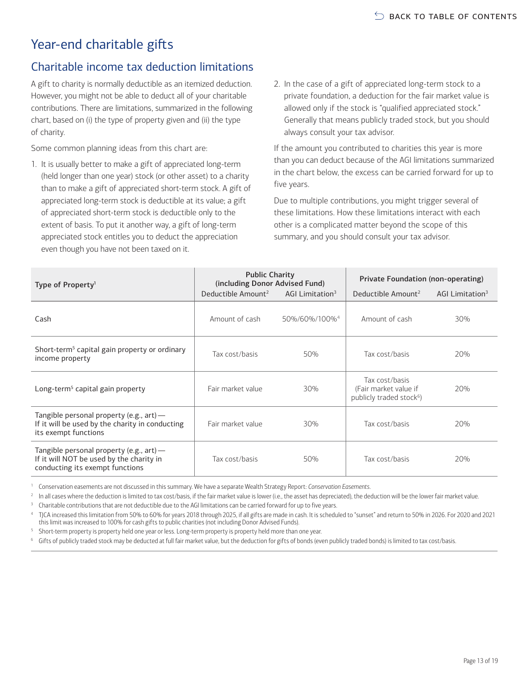# <span id="page-12-0"></span>Year-end charitable gifts

### Charitable income tax deduction limitations

A gift to charity is normally deductible as an itemized deduction. However, you might not be able to deduct all of your charitable contributions. There are limitations, summarized in the following chart, based on (i) the type of property given and (ii) the type of charity.

Some common planning ideas from this chart are:

- 1. It is usually better to make a gift of appreciated long-term (held longer than one year) stock (or other asset) to a charity than to make a gift of appreciated short-term stock. A gift of appreciated long-term stock is deductible at its value; a gift of appreciated short-term stock is deductible only to the extent of basis. To put it another way, a gift of long-term appreciated stock entitles you to deduct the appreciation even though you have not been taxed on it.
- 2. In the case of a gift of appreciated long-term stock to a private foundation, a deduction for the fair market value is allowed only if the stock is "qualified appreciated stock." Generally that means publicly traded stock, but you should always consult your tax advisor.

If the amount you contributed to charities this year is more than you can deduct because of the AGI limitations summarized in the chart below, the excess can be carried forward for up to five years.

Due to multiple contributions, you might trigger several of these limitations. How these limitations interact with each other is a complicated matter beyond the scope of this summary, and you should consult your tax advisor.

| Type of Property <sup>1</sup>                                                                                              | <b>Public Charity</b><br>(including Donor Advised Fund) |                             | Private Foundation (non-operating)                                              |                             |  |
|----------------------------------------------------------------------------------------------------------------------------|---------------------------------------------------------|-----------------------------|---------------------------------------------------------------------------------|-----------------------------|--|
|                                                                                                                            | Deductible Amount <sup>2</sup>                          | AGI Limitation <sup>3</sup> | Deductible Amount <sup>2</sup>                                                  | AGI Limitation <sup>3</sup> |  |
| Cash                                                                                                                       | Amount of cash                                          | 50%/60%/100% <sup>4</sup>   | Amount of cash                                                                  | 30%                         |  |
| Short-term <sup>5</sup> capital gain property or ordinary<br>income property                                               | Tax cost/basis                                          | 50%                         | Tax cost/basis                                                                  | 20%                         |  |
| Long-term <sup>5</sup> capital gain property                                                                               | Fair market value                                       | 30%                         | Tax cost/basis<br>(Fair market value if<br>publicly traded stock <sup>6</sup> ) | 20%                         |  |
| Tangible personal property (e.g., $art$ ) —<br>If it will be used by the charity in conducting<br>its exempt functions     | Fair market value                                       | 30%                         | Tax cost/basis                                                                  | 20%                         |  |
| Tangible personal property (e.g., $art$ ) —<br>If it will NOT be used by the charity in<br>conducting its exempt functions | Tax cost/basis                                          | 50%                         | Tax cost/basis                                                                  | 20%                         |  |

<span id="page-12-1"></span><sup>1</sup> Conservation easements are not discussed in this summary. We have a separate Wealth Strategy Report: *Conservation Easements.*

<span id="page-12-2"></span>In all cases where the deduction is limited to tax cost/basis, if the fair market value is lower (i.e., the asset has depreciated), the deduction will be the lower fair market value.

<span id="page-12-3"></span><sup>3</sup> Charitable contributions that are not deductible due to the AGI limitations can be carried forward for up to five years.

<span id="page-12-4"></span><sup>4</sup> TJCA increased this limitation from 50% to 60% for years 2018 through 2025, if all gifts are made in cash. It is scheduled to "sunset" and return to 50% in 2026. For 2020 and 2021 this limit was increased to 100% for cash gifts to public charities (not including Donor Advised Funds).

<span id="page-12-5"></span><sup>5</sup> Short-term property is property held one year or less. Long-term property is property held more than one year.

<span id="page-12-6"></span><sup>6</sup> Gifts of publicly traded stock may be deducted at full fair market value, but the deduction for gifts of bonds (even publicly traded bonds) is limited to tax cost/basis.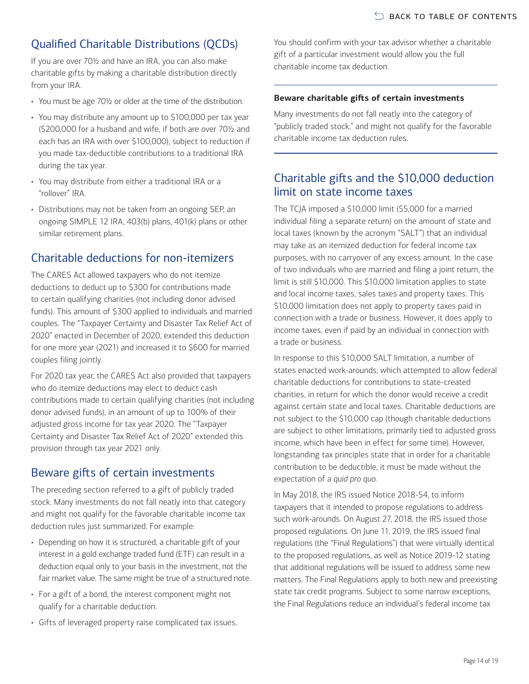# Qualified Charitable Distributions (QCDs)

If you are over 70½ and have an IRA, you can also make charitable gifts by making a charitable distribution directly from your IRA.

- You must be age 70½ or older at the time of the distribution.
- You may distribute any amount up to \$100,000 per tax year (\$200,000 for a husband and wife, if both are over 70½ and each has an IRA with over \$100,000), subject to reduction if you made tax-deductible contributions to a traditional IRA during the tax year.
- You may distribute from either a traditional IRA or a "rollover" IRA.
- Distributions may not be taken from an ongoing SEP, an ongoing SIMPLE 12 IRA, 403(b) plans, 401(k) plans or other similar retirement plans.

### Charitable deductions for non-itemizers

The CARES Act allowed taxpayers who do not itemize deductions to deduct up to \$300 for contributions made to certain qualifying charities (not including donor advised funds). This amount of \$300 applied to individuals and married couples. The "Taxpayer Certainty and Disaster Tax Relief Act of 2020" enacted in December of 2020, extended this deduction for one more year (2021) and increased it to \$600 for married couples filing jointly.

For 2020 tax year, the CARES Act also provided that taxpayers who do itemize deductions may elect to deduct cash contributions made to certain qualifying charities (not including donor advised funds), in an amount of up to 100% of their adjusted gross income for tax year 2020. The "Taxpayer Certainty and Disaster Tax Relief Act of 2020" extended this provision through tax year 2021 only.

### Beware gifts of certain investments

The preceding section referred to a gift of publicly traded stock. Many investments do not fall neatly into that category and might not qualify for the favorable charitable income tax deduction rules just summarized. For example:

- Depending on how it is structured, a charitable gift of your interest in a gold exchange traded fund (ETF) can result in a deduction equal only to your basis in the investment, not the fair market value. The same might be true of a structured note.
- For a gift of a bond, the interest component might not qualify for a charitable deduction.
- Gifts of leveraged property raise complicated tax issues.

You should confirm with your tax advisor whether a charitable gift of a particular investment would allow you the full charitable income tax deduction.

#### **Beware charitable gifts of certain investments**

Many investments do not fall neatly into the category of "publicly traded stock," and might not qualify for the favorable charitable income tax deduction rules.

### Charitable gifts and the \$10,000 deduction limit on state income taxes

The TCJA imposed a \$10,000 limit (\$5,000 for a married individual filing a separate return) on the amount of state and local taxes (known by the acronym "SALT") that an individual may take as an itemized deduction for federal income tax purposes, with no carryover of any excess amount. In the case of two individuals who are married and filing a joint return, the limit is still \$10,000. This \$10,000 limitation applies to state and local income taxes, sales taxes and property taxes. This \$10,000 limitation does not apply to property taxes paid in connection with a trade or business. However, it does apply to income taxes, even if paid by an individual in connection with a trade or business.

In response to this \$10,000 SALT limitation, a number of states enacted work-arounds, which attempted to allow federal charitable deductions for contributions to state-created charities, in return for which the donor would receive a credit against certain state and local taxes. Charitable deductions are not subject to the \$10,000 cap (though charitable deductions are subject to other limitations, primarily tied to adjusted gross income, which have been in effect for some time). However, longstanding tax principles state that in order for a charitable contribution to be deductible, it must be made without the expectation of a *quid pro quo.*

In May 2018, the IRS issued Notice 2018-54, to inform taxpayers that it intended to propose regulations to address such work-arounds. On August 27, 2018, the IRS issued those proposed regulations. On June 11, 2019, the IRS issued final regulations (the "Final Regulations") that were virtually identical to the proposed regulations, as well as Notice 2019-12 stating that additional regulations will be issued to address some new matters. The Final Regulations apply to both new and preexisting state tax credit programs. Subject to some narrow exceptions, the Final Regulations reduce an individual's federal income tax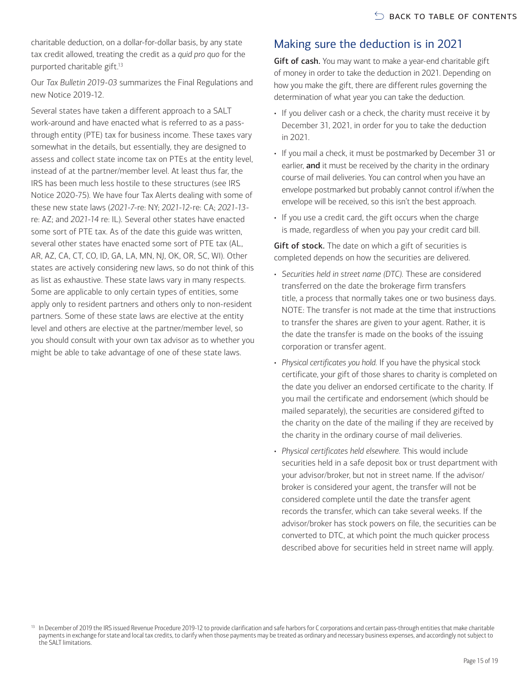charitable deduction, on a dollar-for-dollar basis, by any state tax credit allowed, treating the credit as a *quid pro quo* for the purported charitable gift[.13](#page-14-0)

Our *Tax Bulletin 2019-03* summarizes the Final Regulations and new Notice 2019-12.

Several states have taken a different approach to a SALT work-around and have enacted what is referred to as a passthrough entity (PTE) tax for business income. These taxes vary somewhat in the details, but essentially, they are designed to assess and collect state income tax on PTEs at the entity level, instead of at the partner/member level. At least thus far, the IRS has been much less hostile to these structures (see IRS Notice 2020-75). We have four Tax Alerts dealing with some of these new state laws (*2021-7*-re: NY; *2021-12*-re: CA; *2021-13* re: AZ; and *2021-14* re: IL). Several other states have enacted some sort of PTE tax. As of the date this guide was written, several other states have enacted some sort of PTE tax (AL, AR, AZ, CA, CT, CO, ID, GA, LA, MN, NJ, OK, OR, SC, WI). Other states are actively considering new laws, so do not think of this as list as exhaustive. These state laws vary in many respects. Some are applicable to only certain types of entities, some apply only to resident partners and others only to non-resident partners. Some of these state laws are elective at the entity level and others are elective at the partner/member level, so you should consult with your own tax advisor as to whether you might be able to take advantage of one of these state laws.

### Making sure the deduction is in 2021

Gift of cash. You may want to make a year-end charitable gift of money in order to take the deduction in 2021. Depending on how you make the gift, there are different rules governing the determination of what year you can take the deduction.

- If you deliver cash or a check, the charity must receive it by December 31, 2021, in order for you to take the deduction in 2021.
- If you mail a check, it must be postmarked by December 31 or earlier, and it must be received by the charity in the ordinary course of mail deliveries. You can control when you have an envelope postmarked but probably cannot control if/when the envelope will be received, so this isn't the best approach.
- If you use a credit card, the gift occurs when the charge is made, regardless of when you pay your credit card bill.

Gift of stock. The date on which a gift of securities is completed depends on how the securities are delivered.

- *Securities held in street name (DTC).* These are considered transferred on the date the brokerage firm transfers title, a process that normally takes one or two business days. NOTE: The transfer is not made at the time that instructions to transfer the shares are given to your agent. Rather, it is the date the transfer is made on the books of the issuing corporation or transfer agent.
- *Physical certificates you hold.* If you have the physical stock certificate, your gift of those shares to charity is completed on the date you deliver an endorsed certificate to the charity. If you mail the certificate and endorsement (which should be mailed separately), the securities are considered gifted to the charity on the date of the mailing if they are received by the charity in the ordinary course of mail deliveries.
- *Physical certificates held elsewhere.* This would include securities held in a safe deposit box or trust department with your advisor/broker, but not in street name. If the advisor/ broker is considered your agent, the transfer will not be considered complete until the date the transfer agent records the transfer, which can take several weeks. If the advisor/broker has stock powers on file, the securities can be converted to DTC, at which point the much quicker process described above for securities held in street name will apply.

<span id="page-14-0"></span><sup>&</sup>lt;sup>13</sup> In December of 2019 the IRS issued Revenue Procedure 2019-12 to provide clarification and safe harbors for C corporations and certain pass-through entities that make charitable payments in exchange for state and local tax credits, to clarify when those payments may be treated as ordinary and necessary business expenses, and accordingly not subject to the SALT limitations.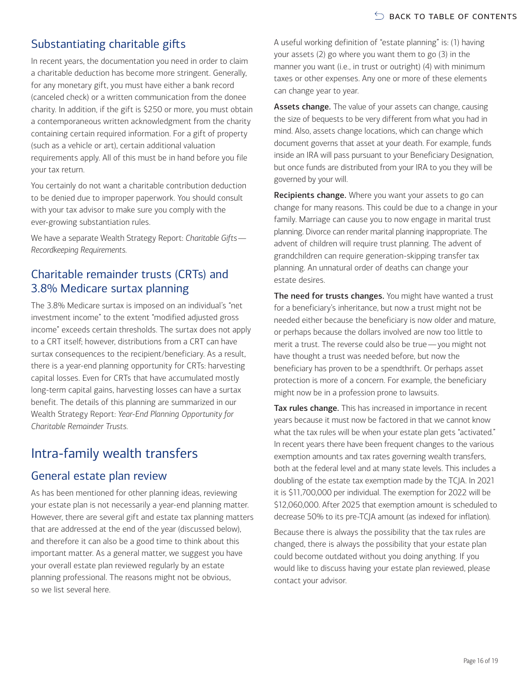# Substantiating charitable gifts

In recent years, the documentation you need in order to claim a charitable deduction has become more stringent. Generally, for any monetary gift, you must have either a bank record (canceled check) or a written communication from the donee charity. In addition, if the gift is \$250 or more, you must obtain a contemporaneous written acknowledgment from the charity containing certain required information. For a gift of property (such as a vehicle or art), certain additional valuation requirements apply. All of this must be in hand before you file your tax return.

You certainly do not want a charitable contribution deduction to be denied due to improper paperwork. You should consult with your tax advisor to make sure you comply with the ever-growing substantiation rules.

We have a separate Wealth Strategy Report: *Charitable Gifts— Recordkeeping Requirements.*

### Charitable remainder trusts (CRTs) and 3.8% Medicare surtax planning

The 3.8% Medicare surtax is imposed on an individual's "net investment income" to the extent "modified adjusted gross income" exceeds certain thresholds. The surtax does not apply to a CRT itself; however, distributions from a CRT can have surtax consequences to the recipient/beneficiary. As a result, there is a year-end planning opportunity for CRTs: harvesting capital losses. Even for CRTs that have accumulated mostly long-term capital gains, harvesting losses can have a surtax benefit. The details of this planning are summarized in our Wealth Strategy Report: *Year-End Planning Opportunity for Charitable Remainder Trusts.*

# <span id="page-15-0"></span>Intra-family wealth transfers

#### General estate plan review

As has been mentioned for other planning ideas, reviewing your estate plan is not necessarily a year-end planning matter. However, there are several gift and estate tax planning matters that are addressed at the end of the year (discussed below), and therefore it can also be a good time to think about this important matter. As a general matter, we suggest you have your overall estate plan reviewed regularly by an estate planning professional. The reasons might not be obvious, so we list several here.

A useful working definition of "estate planning" is: (1) having your assets (2) go where you want them to go (3) in the manner you want (i.e., in trust or outright) (4) with minimum taxes or other expenses. Any one or more of these elements can change year to year.

Assets change. The value of your assets can change, causing the size of bequests to be very different from what you had in mind. Also, assets change locations, which can change which document governs that asset at your death. For example, funds inside an IRA will pass pursuant to your Beneficiary Designation, but once funds are distributed from your IRA to you they will be governed by your will.

Recipients change. Where you want your assets to go can change for many reasons. This could be due to a change in your family. Marriage can cause you to now engage in marital trust planning. Divorce can render marital planning inappropriate. The advent of children will require trust planning. The advent of grandchildren can require generation-skipping transfer tax planning. An unnatural order of deaths can change your estate desires.

The need for trusts changes. You might have wanted a trust for a beneficiary's inheritance, but now a trust might not be needed either because the beneficiary is now older and mature, or perhaps because the dollars involved are now too little to merit a trust. The reverse could also be true—you might not have thought a trust was needed before, but now the beneficiary has proven to be a spendthrift. Or perhaps asset protection is more of a concern. For example, the beneficiary might now be in a profession prone to lawsuits.

Tax rules change. This has increased in importance in recent years because it must now be factored in that we cannot know what the tax rules will be when your estate plan gets "activated." In recent years there have been frequent changes to the various exemption amounts and tax rates governing wealth transfers, both at the federal level and at many state levels. This includes a doubling of the estate tax exemption made by the TCJA. In 2021 it is \$11,700,000 per individual. The exemption for 2022 will be \$12,060,000. After 2025 that exemption amount is scheduled to decrease 50% to its pre-TCJA amount (as indexed for inflation).

Because there is always the possibility that the tax rules are changed, there is always the possibility that your estate plan could become outdated without you doing anything. If you would like to discuss having your estate plan reviewed, please contact your advisor.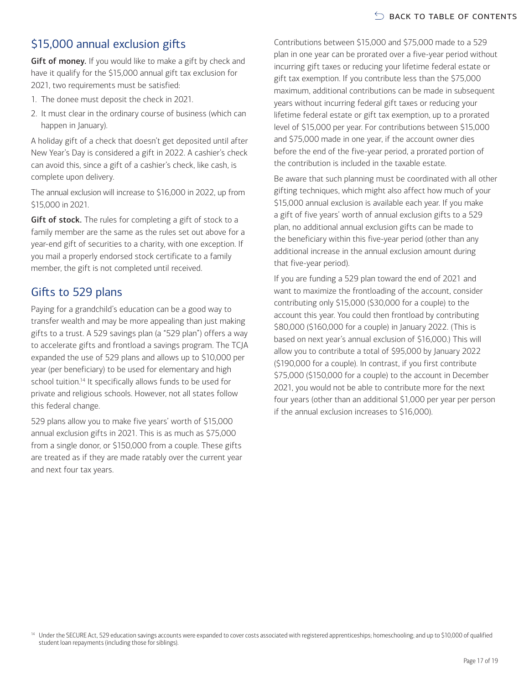# \$15,000 annual exclusion gifts

Gift of money. If you would like to make a gift by check and have it qualify for the \$15,000 annual gift tax exclusion for 2021, two requirements must be satisfied:

- 1. The donee must deposit the check in 2021.
- 2. It must clear in the ordinary course of business (which can happen in January).

A holiday gift of a check that doesn't get deposited until after New Year's Day is considered a gift in 2022. A cashier's check can avoid this, since a gift of a cashier's check, like cash, is complete upon delivery.

The annual exclusion will increase to \$16,000 in 2022, up from \$15,000 in 2021.

Gift of stock. The rules for completing a gift of stock to a family member are the same as the rules set out above for a year-end gift of securities to a charity, with one exception. If you mail a properly endorsed stock certificate to a family member, the gift is not completed until received.

### Gifts to 529 plans

Paying for a grandchild's education can be a good way to transfer wealth and may be more appealing than just making gifts to a trust. A 529 savings plan (a "529 plan") offers a way to accelerate gifts and frontload a savings program. The TCJA expanded the use of 529 plans and allows up to \$10,000 per year (per beneficiary) to be used for elementary and high school tuition.<sup>14</sup> It specifically allows funds to be used for private and religious schools. However, not all states follow this federal change.

529 plans allow you to make five years' worth of \$15,000 annual exclusion gifts in 2021. This is as much as \$75,000 from a single donor, or \$150,000 from a couple. These gifts are treated as if they are made ratably over the current year and next four tax years.

Contributions between \$15,000 and \$75,000 made to a 529 plan in one year can be prorated over a five-year period without incurring gift taxes or reducing your lifetime federal estate or gift tax exemption. If you contribute less than the \$75,000 maximum, additional contributions can be made in subsequent years without incurring federal gift taxes or reducing your lifetime federal estate or gift tax exemption, up to a prorated level of \$15,000 per year. For contributions between \$15,000 and \$75,000 made in one year, if the account owner dies before the end of the five-year period, a prorated portion of the contribution is included in the taxable estate.

Be aware that such planning must be coordinated with all other gifting techniques, which might also affect how much of your \$15,000 annual exclusion is available each year. If you make a gift of five years' worth of annual exclusion gifts to a 529 plan, no additional annual exclusion gifts can be made to the beneficiary within this five-year period (other than any additional increase in the annual exclusion amount during that five-year period).

If you are funding a 529 plan toward the end of 2021 and want to maximize the frontloading of the account, consider contributing only \$15,000 (\$30,000 for a couple) to the account this year. You could then frontload by contributing \$80,000 (\$160,000 for a couple) in January 2022. (This is based on next year's annual exclusion of \$16,000.) This will allow you to contribute a total of \$95,000 by January 2022 (\$190,000 for a couple). In contrast, if you first contribute \$75,000 (\$150,000 for a couple) to the account in December 2021, you would not be able to contribute more for the next four years (other than an additional \$1,000 per year per person if the annual exclusion increases to \$16,000).

<span id="page-16-0"></span><sup>14</sup> Under the SECURE Act, 529 education savings accounts were expanded to cover costs associated with registered apprenticeships; homeschooling; and up to \$10,000 of qualified student loan repayments (including those for siblings).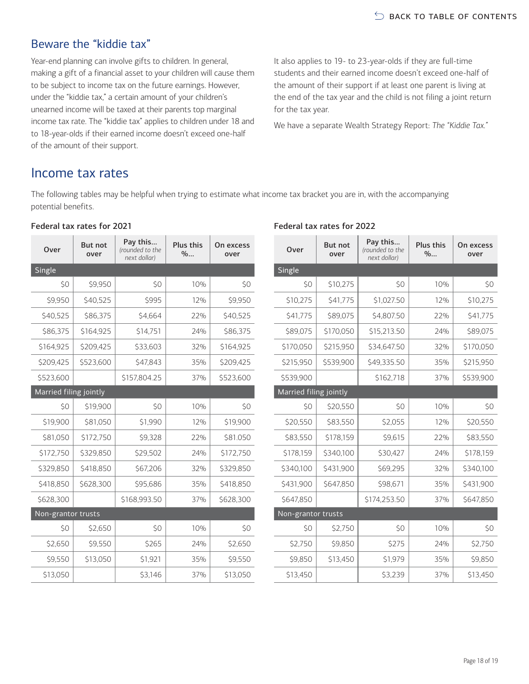### Beware the "kiddie tax"

Year-end planning can involve gifts to children. In general, making a gift of a financial asset to your children will cause them to be subject to income tax on the future earnings. However, under the "kiddie tax," a certain amount of your children's unearned income will be taxed at their parents top marginal income tax rate. The "kiddie tax" applies to children under 18 and to 18-year-olds if their earned income doesn't exceed one-half of the amount of their support.

It also applies to 19- to 23-year-olds if they are full-time students and their earned income doesn't exceed one-half of the amount of their support if at least one parent is living at the end of the tax year and the child is not filing a joint return for the tax year.

We have a separate Wealth Strategy Report: *The "Kiddie Tax."*

### <span id="page-17-0"></span>Income tax rates

The following tables may be helpful when trying to estimate what income tax bracket you are in, with the accompanying potential benefits.

| Federal tax rates for 2021 |  |  |
|----------------------------|--|--|
|                            |  |  |

| Over                   | <b>But not</b><br>over | Pay this<br>(rounded to the<br>next dollar) | Plus this<br>$\%$ | On excess<br>over |  |  |  |
|------------------------|------------------------|---------------------------------------------|-------------------|-------------------|--|--|--|
| <b>Single</b>          |                        |                                             |                   |                   |  |  |  |
| \$0                    | \$9,950                | \$0                                         | 10%               | \$0               |  |  |  |
| \$9,950                | \$40,525               | \$995                                       | 12%               | \$9,950           |  |  |  |
| \$40,525               | \$86,375               | \$4,664                                     | 22%               | \$40,525          |  |  |  |
| \$86,375               | \$164,925              | \$14,751                                    | 24%               | \$86,375          |  |  |  |
| \$164,925              | \$209,425              | \$33,603                                    | 32%               | \$164,925         |  |  |  |
| \$209,425              | \$523,600              | \$47,843                                    | 35%               | \$209,425         |  |  |  |
| \$523,600              |                        | \$157,804.25                                | 37%               | \$523,600         |  |  |  |
| Married filing jointly |                        |                                             |                   |                   |  |  |  |
| \$0                    | \$19,900               | \$O                                         | 10%               | \$0               |  |  |  |
| \$19,900               | \$81,050               | \$1,990                                     | 12%               | \$19,900          |  |  |  |
| \$81,050               | \$172,750              | \$9,328                                     | 22%               | \$81.050          |  |  |  |
| \$172,750              | \$329,850              | \$29,502                                    | 24%               | \$172,750         |  |  |  |
| \$329,850              | \$418,850              | \$67,206                                    | 32%               | \$329,850         |  |  |  |
| \$418,850              | \$628,300              | \$95,686                                    | 35%               | \$418,850         |  |  |  |
| \$628,300              |                        | \$168,993.50                                | 37%               | \$628,300         |  |  |  |
| Non-grantor trusts     |                        |                                             |                   |                   |  |  |  |
| \$0                    | \$2,650                | \$0                                         | 10%               | \$0               |  |  |  |
| \$2,650                | \$9,550                | \$265                                       | 24%               | \$2,650           |  |  |  |
| \$9,550                | \$13,050               | \$1,921                                     | 35%               | \$9,550           |  |  |  |
| \$13,050               |                        | \$3,146                                     | 37%               | \$13,050          |  |  |  |

#### Federal tax rates for 2022

| Over                   | <b>But not</b><br>over | Pay this<br>(rounded to the<br>next dollar) | Plus this<br>$\%$ | On excess<br>over |  |  |
|------------------------|------------------------|---------------------------------------------|-------------------|-------------------|--|--|
| <b>Single</b>          |                        |                                             |                   |                   |  |  |
| \$0                    | \$10,275               | \$0                                         | 10%               | \$0               |  |  |
| \$10,275               | \$41,775               | \$1,027.50                                  | 12%               | \$10,275          |  |  |
| \$41,775               | \$89,075               | \$4,807.50                                  | 22%               | \$41,775          |  |  |
| \$89,075               | \$170,050              | \$15,213.50                                 | 24%               | \$89,075          |  |  |
| \$170,050              | \$215,950              | \$34,647.50                                 | 32%               | \$170,050         |  |  |
| \$215,950              | \$539,900              | \$49,335.50                                 | 35%               | \$215,950         |  |  |
| \$539,900              |                        | \$162,718                                   | 37%               | \$539,900         |  |  |
| Married filing jointly |                        |                                             |                   |                   |  |  |
| \$0                    | \$20,550               | \$0                                         | 10%               | \$0               |  |  |
| \$20,550               | \$83,550               | \$2,055                                     | 12%               | \$20,550          |  |  |
| \$83,550               | \$178,159              | \$9,615                                     | 22%               | \$83,550          |  |  |
| \$178,159              | \$340,100              | \$30,427                                    | 24%               | \$178,159         |  |  |
| \$340,100              | \$431,900              | \$69,295                                    | 32%               | \$340,100         |  |  |
| \$431,900              | \$647,850              | \$98,671                                    | 35%               | \$431,900         |  |  |
| \$647.850              |                        | \$174,253.50                                | 37%               | \$647,850         |  |  |
| Non-grantor trusts     |                        |                                             |                   |                   |  |  |
| \$0                    | \$2,750                | \$0                                         | 10%               | \$0               |  |  |
| \$2,750                | \$9,850                | \$275                                       | 24%               | \$2,750           |  |  |
| \$9,850                | \$13,450               | \$1,979                                     | 35%               | \$9,850           |  |  |
| \$13,450               |                        | \$3,239                                     | 37%               | \$13,450          |  |  |